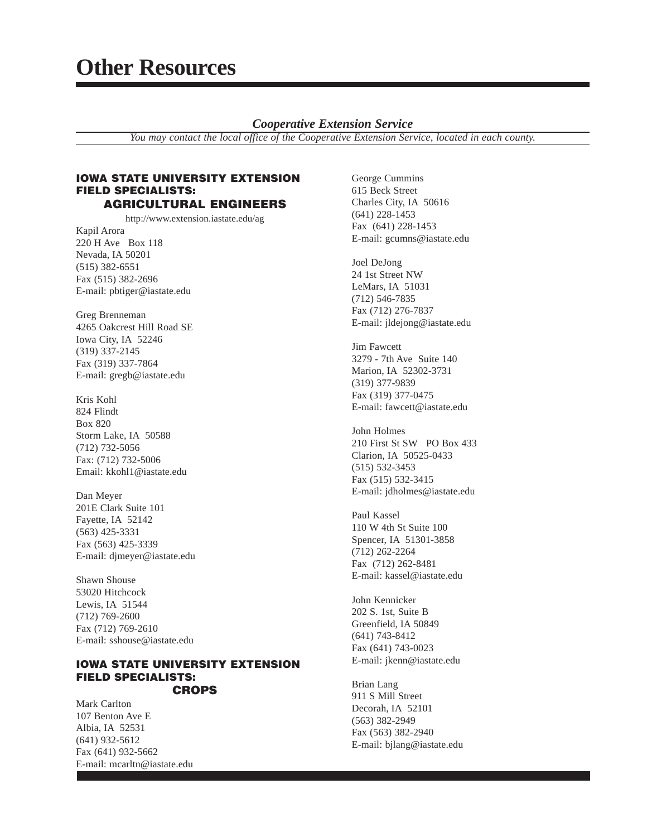## *Cooperative Extension Service*

*You may contact the local office of the Cooperative Extension Service, located in each county.*

#### **IOWA STATE UNIVERSITY EXTENSION FIELD SPECIALISTS: AGRICULTURAL ENGINEERS**

http://www.extension.iastate.edu/ag

Kapil Arora 220 H Ave Box 118 Nevada, IA 50201 (515) 382-6551 Fax (515) 382-2696 E-mail: pbtiger@iastate.edu

Greg Brenneman 4265 Oakcrest Hill Road SE Iowa City, IA 52246 (319) 337-2145 Fax (319) 337-7864 E-mail: gregb@iastate.edu

Kris Kohl 824 Flindt Box 820 Storm Lake, IA 50588 (712) 732-5056 Fax: (712) 732-5006 Email: kkohl1@iastate.edu

Dan Meyer 201E Clark Suite 101 Fayette, IA 52142 (563) 425-3331 Fax (563) 425-3339 E-mail: djmeyer@iastate.edu

Shawn Shouse 53020 Hitchcock Lewis, IA 51544 (712) 769-2600 Fax (712) 769-2610 E-mail: sshouse@iastate.edu

#### **IOWA STATE UNIVERSITY EXTENSION FIELD SPECIALISTS: CROPS**

Mark Carlton 107 Benton Ave E Albia, IA 52531 (641) 932-5612 Fax (641) 932-5662 E-mail: mcarltn@iastate.edu George Cummins 615 Beck Street Charles City, IA 50616 (641) 228-1453 Fax (641) 228-1453 E-mail: gcumns@iastate.edu

Joel DeJong 24 1st Street NW LeMars, IA 51031 (712) 546-7835 Fax (712) 276-7837 E-mail: jldejong@iastate.edu

Jim Fawcett 3279 - 7th Ave Suite 140 Marion, IA 52302-3731 (319) 377-9839 Fax (319) 377-0475 E-mail: fawcett@iastate.edu

John Holmes 210 First St SW PO Box 433 Clarion, IA 50525-0433 (515) 532-3453 Fax (515) 532-3415 E-mail: jdholmes@iastate.edu

Paul Kassel 110 W 4th St Suite 100 Spencer, IA 51301-3858 (712) 262-2264 Fax (712) 262-8481 E-mail: kassel@iastate.edu

John Kennicker 202 S. 1st, Suite B Greenfield, IA 50849 (641) 743-8412 Fax (641) 743-0023 E-mail: jkenn@iastate.edu

Brian Lang 911 S Mill Street Decorah, IA 52101 (563) 382-2949 Fax (563) 382-2940 E-mail: bjlang@iastate.edu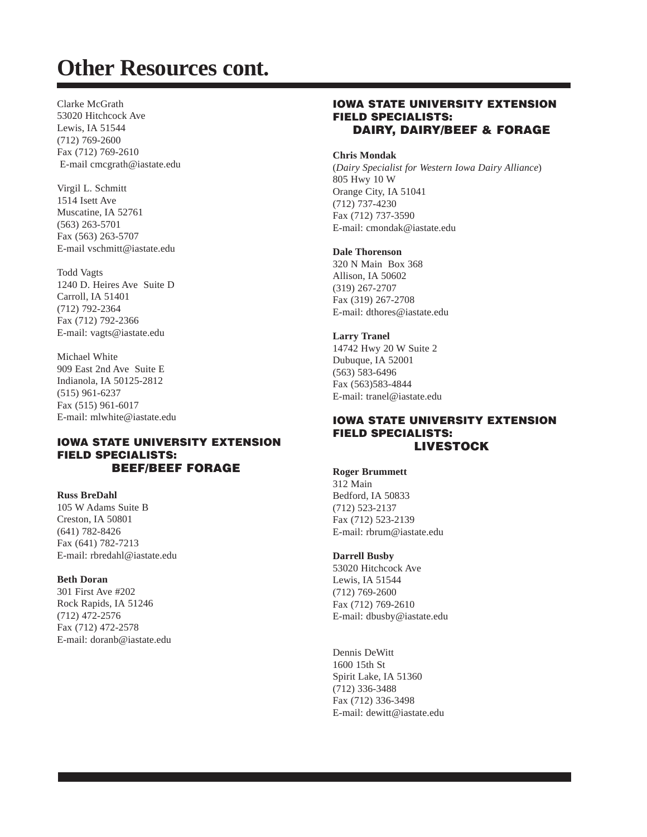Clarke McGrath 53020 Hitchcock Ave Lewis, IA 51544 (712) 769-2600 Fax (712) 769-2610 E-mail cmcgrath@iastate.edu

Virgil L. Schmitt 1514 Isett Ave Muscatine, IA 52761 (563) 263-5701 Fax (563) 263-5707 E-mail vschmitt@iastate.edu

Todd Vagts 1240 D. Heires Ave Suite D Carroll, IA 51401 (712) 792-2364 Fax (712) 792-2366 E-mail: vagts@iastate.edu

Michael White 909 East 2nd Ave Suite E Indianola, IA 50125-2812 (515) 961-6237 Fax (515) 961-6017 E-mail: mlwhite@iastate.edu

## **IOWA STATE UNIVERSITY EXTENSION FIELD SPECIALISTS: BEEF/BEEF FORAGE**

**Russ BreDahl** 105 W Adams Suite B Creston, IA 50801 (641) 782-8426

Fax (641) 782-7213 E-mail: rbredahl@iastate.edu

## **Beth Doran**

301 First Ave #202 Rock Rapids, IA 51246 (712) 472-2576 Fax (712) 472-2578 E-mail: doranb@iastate.edu

## **IOWA STATE UNIVERSITY EXTENSION FIELD SPECIALISTS: DAIRY, DAIRY/BEEF & FORAGE**

#### **Chris Mondak**

(*Dairy Specialist for Western Iowa Dairy Alliance*) 805 Hwy 10 W Orange City, IA 51041 (712) 737-4230 Fax (712) 737-3590 E-mail: cmondak@iastate.edu

#### **Dale Thorenson**

320 N Main Box 368 Allison, IA 50602 (319) 267-2707 Fax (319) 267-2708 E-mail: dthores@iastate.edu

**Larry Tranel** 14742 Hwy 20 W Suite 2

Dubuque, IA 52001 (563) 583-6496 Fax (563)583-4844 E-mail: tranel@iastate.edu

## **IOWA STATE UNIVERSITY EXTENSION FIELD SPECIALISTS: LIVESTOCK**

**Roger Brummett** 312 Main Bedford, IA 50833 (712) 523-2137 Fax (712) 523-2139 E-mail: rbrum@iastate.edu

#### **Darrell Busby**

53020 Hitchcock Ave Lewis, IA 51544 (712) 769-2600 Fax (712) 769-2610 E-mail: dbusby@iastate.edu

Dennis DeWitt 1600 15th St Spirit Lake, IA 51360 (712) 336-3488 Fax (712) 336-3498 E-mail: dewitt@iastate.edu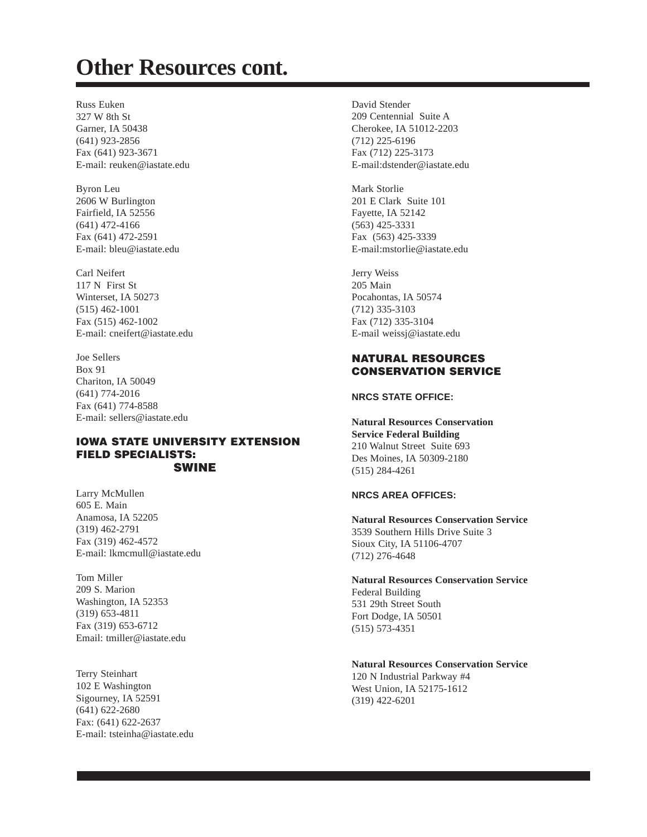Russ Euken 327 W 8th St Garner, IA 50438 (641) 923-2856 Fax (641) 923-3671 E-mail: reuken@iastate.edu

Byron Leu 2606 W Burlington Fairfield, IA 52556 (641) 472-4166 Fax (641) 472-2591 E-mail: bleu@iastate.edu

Carl Neifert 117 N First St Winterset, IA 50273 (515) 462-1001 Fax (515) 462-1002 E-mail: cneifert@iastate.edu

Joe Sellers Box 91 Chariton, IA 50049 (641) 774-2016 Fax (641) 774-8588 E-mail: sellers@iastate.edu

## **IOWA STATE UNIVERSITY EXTENSION FIELD SPECIALISTS: SWINE**

Larry McMullen 605 E. Main Anamosa, IA 52205 (319) 462-2791 Fax (319) 462-4572 E-mail: lkmcmull@iastate.edu

Tom Miller 209 S. Marion Washington, IA 52353 (319) 653-4811 Fax (319) 653-6712 Email: tmiller@iastate.edu

Terry Steinhart 102 E Washington Sigourney, IA 52591 (641) 622-2680 Fax: (641) 622-2637 E-mail: tsteinha@iastate.edu David Stender 209 Centennial Suite A Cherokee, IA 51012-2203 (712) 225-6196 Fax (712) 225-3173 E-mail:dstender@iastate.edu

Mark Storlie 201 E Clark Suite 101 Fayette, IA 52142 (563) 425-3331 Fax (563) 425-3339 E-mail:mstorlie@iastate.edu

Jerry Weiss 205 Main Pocahontas, IA 50574 (712) 335-3103 Fax (712) 335-3104 E-mail weissj@iastate.edu

## **NATURAL RESOURCES CONSERVATION SERVICE**

#### **NRCS STATE OFFICE:**

**Natural Resources Conservation Service Federal Building** 210 Walnut Street Suite 693 Des Moines, IA 50309-2180 (515) 284-4261

#### **NRCS AREA OFFICES:**

**Natural Resources Conservation Service** 3539 Southern Hills Drive Suite 3 Sioux City, IA 51106-4707 (712) 276-4648

**Natural Resources Conservation Service** Federal Building 531 29th Street South Fort Dodge, IA 50501 (515) 573-4351

**Natural Resources Conservation Service** 120 N Industrial Parkway #4 West Union, IA 52175-1612 (319) 422-6201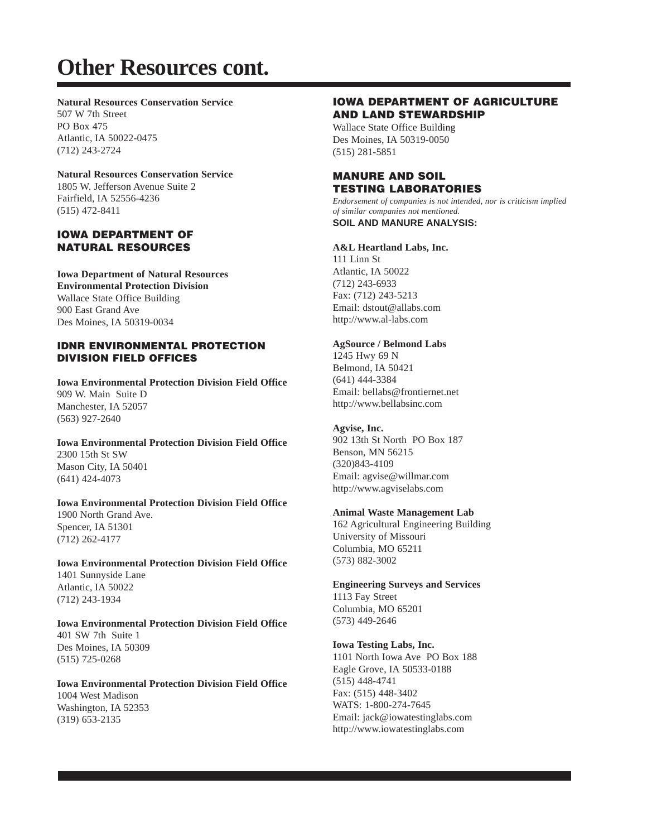#### **Natural Resources Conservation Service**

507 W 7th Street PO Box 475 Atlantic, IA 50022-0475 (712) 243-2724

#### **Natural Resources Conservation Service**

1805 W. Jefferson Avenue Suite 2 Fairfield, IA 52556-4236 (515) 472-8411

## **IOWA DEPARTMENT OF NATURAL RESOURCES**

**Iowa Department of Natural Resources Environmental Protection Division** Wallace State Office Building 900 East Grand Ave Des Moines, IA 50319-0034

#### **IDNR ENVIRONMENTAL PROTECTION DIVISION FIELD OFFICES**

**Iowa Environmental Protection Division Field Office** 909 W. Main Suite D Manchester, IA 52057 (563) 927-2640

**Iowa Environmental Protection Division Field Office** 2300 15th St SW Mason City, IA 50401 (641) 424-4073

**Iowa Environmental Protection Division Field Office** 1900 North Grand Ave. Spencer, IA 51301 (712) 262-4177

**Iowa Environmental Protection Division Field Office** 1401 Sunnyside Lane Atlantic, IA 50022 (712) 243-1934

**Iowa Environmental Protection Division Field Office** 401 SW 7th Suite 1 Des Moines, IA 50309 (515) 725-0268

**Iowa Environmental Protection Division Field Office** 1004 West Madison Washington, IA 52353 (319) 653-2135

## **IOWA DEPARTMENT OF AGRICULTURE AND LAND STEWARDSHIP**

Wallace State Office Building Des Moines, IA 50319-0050 (515) 281-5851

## **MANURE AND SOIL TESTING LABORATORIES**

*Endorsement of companies is not intended, nor is criticism implied of similar companies not mentioned.* **SOIL AND MANURE ANALYSIS:**

## **A&L Heartland Labs, Inc.**

111 Linn St Atlantic, IA 50022 (712) 243-6933 Fax: (712) 243-5213 Email: dstout@allabs.com http://www.al-labs.com

#### **AgSource / Belmond Labs**

1245 Hwy 69 N Belmond, IA 50421 (641) 444-3384 Email: bellabs@frontiernet.net http://www.bellabsinc.com

## **Agvise, Inc.**

902 13th St North PO Box 187 Benson, MN 56215 (320)843-4109 Email: agvise@willmar.com http://www.agviselabs.com

## **Animal Waste Management Lab**

162 Agricultural Engineering Building University of Missouri Columbia, MO 65211 (573) 882-3002

## **Engineering Surveys and Services**

1113 Fay Street Columbia, MO 65201 (573) 449-2646

## **Iowa Testing Labs, Inc.**

1101 North Iowa Ave PO Box 188 Eagle Grove, IA 50533-0188 (515) 448-4741 Fax: (515) 448-3402 WATS: 1-800-274-7645 Email: jack@iowatestinglabs.com http://www.iowatestinglabs.com